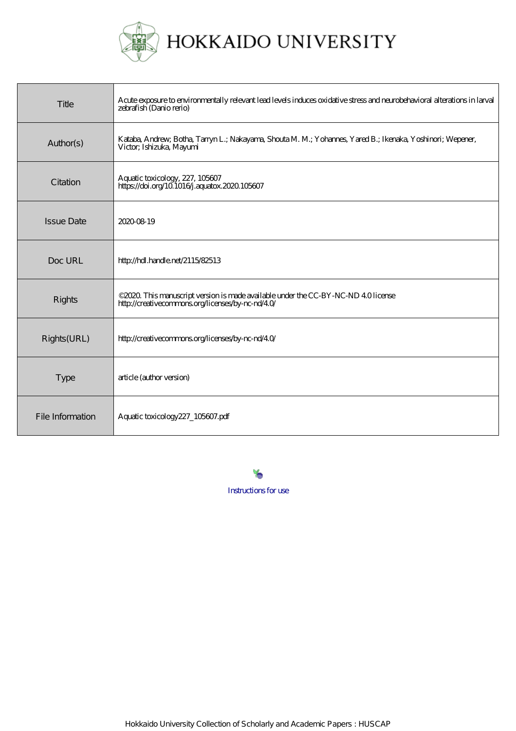

HOKKAIDO UNIVERSITY

| Title             | Acute exposure to environmentally relevant lead levels induces oxidative stress and neurobehavioral alterations in larval<br>zebrafish (Danio rerio) |
|-------------------|------------------------------------------------------------------------------------------------------------------------------------------------------|
| Author(s)         | Kataba, Andrew, Botha, Tanyn L.; Nakayama, Shouta M. M.; Yohannes, Yared B.; Ikenaka, Yoshinori; Wepener,<br>Victor; Ishizuka, Mayumi                |
| Citation          | Aquatic toxicology, 227, 105607<br>https://doi.org/101016/j.aquatox.2020.105607                                                                      |
| <b>Issue Date</b> | 2020-08-19                                                                                                                                           |
| Doc URL           | http://hdl.handle.net/2115/82513                                                                                                                     |
| Rights            | © 2020 This manuscript version is made available under the CC-BY-NC-ND 40 license<br>http://creativecommons.org/licenses/by-nc-nd/40/                |
| Rights(URL)       | http://creativecommons.org/licenses/by-nc-nd/40/                                                                                                     |
| <b>Type</b>       | article (author version)                                                                                                                             |
| File Information  | Aquatic toxicology 227_105607.pdf                                                                                                                    |

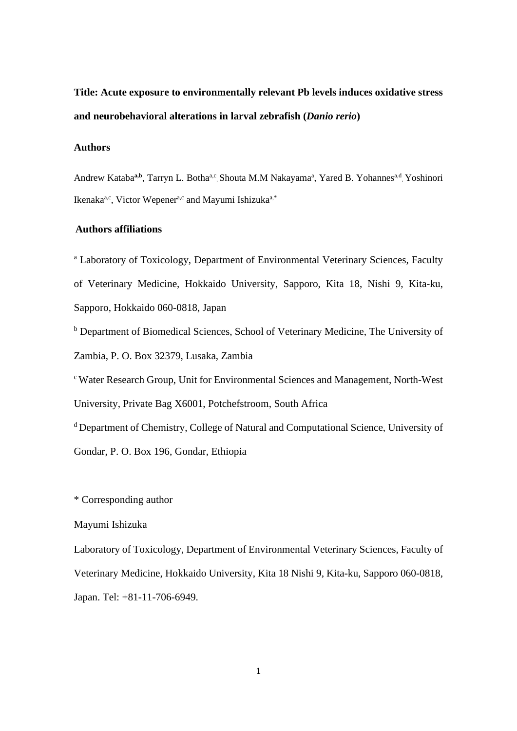**Title: Acute exposure to environmentally relevant Pb levels induces oxidative stress and neurobehavioral alterations in larval zebrafish (***Danio rerio***)**

## **Authors**

Andrew Kataba<sup>a,b</sup>, Tarryn L. Botha<sup>a,c</sup>, Shouta M.M Nakayama<sup>a</sup>, Yared B. Yohannes<sup>a,d</sup>, Yoshinori Ikenaka<sup>a,c</sup>, Victor Wepener<sup>a,c</sup> and Mayumi Ishizuka<sup>a,\*</sup>

## **Authors affiliations**

<sup>a</sup> Laboratory of Toxicology, Department of Environmental Veterinary Sciences, Faculty of Veterinary Medicine, Hokkaido University, Sapporo, Kita 18, Nishi 9, Kita-ku, Sapporo, Hokkaido 060-0818, Japan

<sup>b</sup> Department of Biomedical Sciences, School of Veterinary Medicine, The University of Zambia, P. O. Box 32379, Lusaka, Zambia

c Water Research Group, Unit for Environmental Sciences and Management, North-West University, Private Bag X6001, Potchefstroom, South Africa

d Department of Chemistry, College of Natural and Computational Science, University of

Gondar, P. O. Box 196, Gondar, Ethiopia

\* Corresponding author

### Mayumi Ishizuka

Laboratory of Toxicology, Department of Environmental Veterinary Sciences, Faculty of Veterinary Medicine, Hokkaido University, Kita 18 Nishi 9, Kita-ku, Sapporo 060-0818, Japan. Tel: +81-11-706-6949.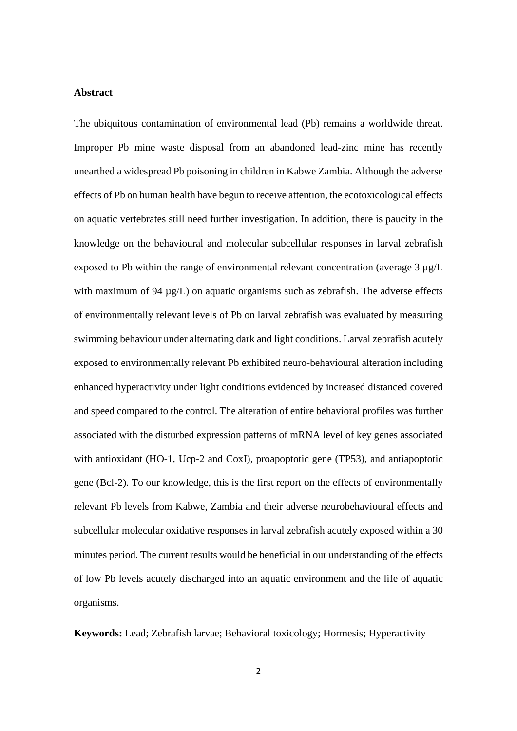### **Abstract**

The ubiquitous contamination of environmental lead (Pb) remains a worldwide threat. Improper Pb mine waste disposal from an abandoned lead-zinc mine has recently unearthed a widespread Pb poisoning in children in Kabwe Zambia. Although the adverse effects of Pb on human health have begun to receive attention, the ecotoxicological effects on aquatic vertebrates still need further investigation. In addition, there is paucity in the knowledge on the behavioural and molecular subcellular responses in larval zebrafish exposed to Pb within the range of environmental relevant concentration (average  $3 \mu g/L$ ) with maximum of 94  $\mu$ g/L) on aquatic organisms such as zebrafish. The adverse effects of environmentally relevant levels of Pb on larval zebrafish was evaluated by measuring swimming behaviour under alternating dark and light conditions. Larval zebrafish acutely exposed to environmentally relevant Pb exhibited neuro-behavioural alteration including enhanced hyperactivity under light conditions evidenced by increased distanced covered and speed compared to the control. The alteration of entire behavioral profiles was further associated with the disturbed expression patterns of mRNA level of key genes associated with antioxidant (HO-1, Ucp-2 and CoxI), proapoptotic gene (TP53), and antiapoptotic gene (Bcl-2). To our knowledge, this is the first report on the effects of environmentally relevant Pb levels from Kabwe, Zambia and their adverse neurobehavioural effects and subcellular molecular oxidative responses in larval zebrafish acutely exposed within a 30 minutes period. The current results would be beneficial in our understanding of the effects of low Pb levels acutely discharged into an aquatic environment and the life of aquatic organisms.

**Keywords:** Lead; Zebrafish larvae; Behavioral toxicology; Hormesis; Hyperactivity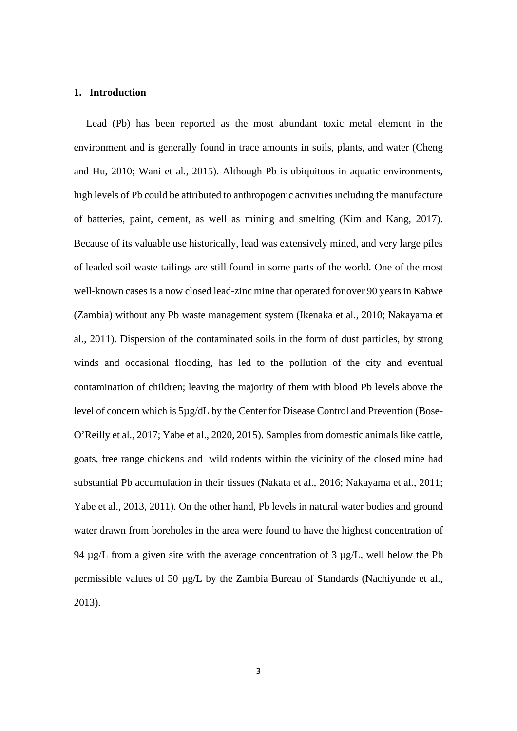### **1. Introduction**

Lead (Pb) has been reported as the most abundant toxic metal element in the environment and is generally found in trace amounts in soils, plants, and water (Cheng and Hu, 2010; Wani et al., 2015). Although Pb is ubiquitous in aquatic environments, high levels of Pb could be attributed to anthropogenic activities including the manufacture of batteries, paint, cement, as well as mining and smelting (Kim and Kang, 2017). Because of its valuable use historically, lead was extensively mined, and very large piles of leaded soil waste tailings are still found in some parts of the world. One of the most well-known cases is a now closed lead-zinc mine that operated for over 90 years in Kabwe (Zambia) without any Pb waste management system (Ikenaka et al., 2010; Nakayama et al., 2011). Dispersion of the contaminated soils in the form of dust particles, by strong winds and occasional flooding, has led to the pollution of the city and eventual contamination of children; leaving the majority of them with blood Pb levels above the level of concern which is 5µg/dL by the Center for Disease Control and Prevention (Bose-O'Reilly et al., 2017; Yabe et al., 2020, 2015). Samples from domestic animals like cattle, goats, free range chickens and wild rodents within the vicinity of the closed mine had substantial Pb accumulation in their tissues (Nakata et al., 2016; Nakayama et al., 2011; Yabe et al., 2013, 2011). On the other hand, Pb levels in natural water bodies and ground water drawn from boreholes in the area were found to have the highest concentration of 94 µg/L from a given site with the average concentration of 3 µg/L, well below the Pb permissible values of 50 µg/L by the Zambia Bureau of Standards (Nachiyunde et al., 2013).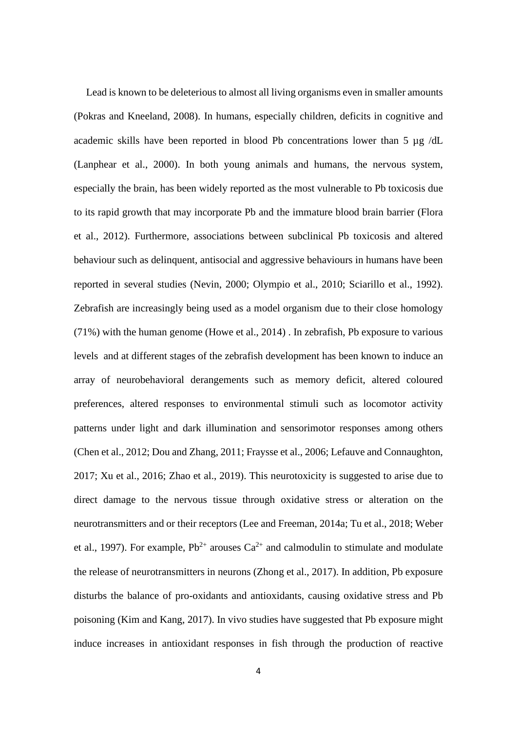Lead is known to be deleterious to almost all living organisms even in smaller amounts (Pokras and Kneeland, 2008). In humans, especially children, deficits in cognitive and academic skills have been reported in blood Pb concentrations lower than 5 µg /dL (Lanphear et al., 2000). In both young animals and humans, the nervous system, especially the brain, has been widely reported as the most vulnerable to Pb toxicosis due to its rapid growth that may incorporate Pb and the immature blood brain barrier (Flora et al., 2012). Furthermore, associations between subclinical Pb toxicosis and altered behaviour such as delinquent, antisocial and aggressive behaviours in humans have been reported in several studies (Nevin, 2000; Olympio et al., 2010; Sciarillo et al., 1992). Zebrafish are increasingly being used as a model organism due to their close homology (71%) with the human genome (Howe et al., 2014) . In zebrafish, Pb exposure to various levels and at different stages of the zebrafish development has been known to induce an array of neurobehavioral derangements such as memory deficit, altered coloured preferences, altered responses to environmental stimuli such as locomotor activity patterns under light and dark illumination and sensorimotor responses among others (Chen et al., 2012; Dou and Zhang, 2011; Fraysse et al., 2006; Lefauve and Connaughton, 2017; Xu et al., 2016; Zhao et al., 2019). This neurotoxicity is suggested to arise due to direct damage to the nervous tissue through oxidative stress or alteration on the neurotransmitters and or their receptors (Lee and Freeman, 2014a; Tu et al., 2018; Weber et al., 1997). For example,  $Pb^{2+}$  arouses  $Ca^{2+}$  and calmodulin to stimulate and modulate the release of neurotransmitters in neurons (Zhong et al., 2017). In addition, Pb exposure disturbs the balance of pro-oxidants and antioxidants, causing oxidative stress and Pb poisoning (Kim and Kang, 2017). In vivo studies have suggested that Pb exposure might induce increases in antioxidant responses in fish through the production of reactive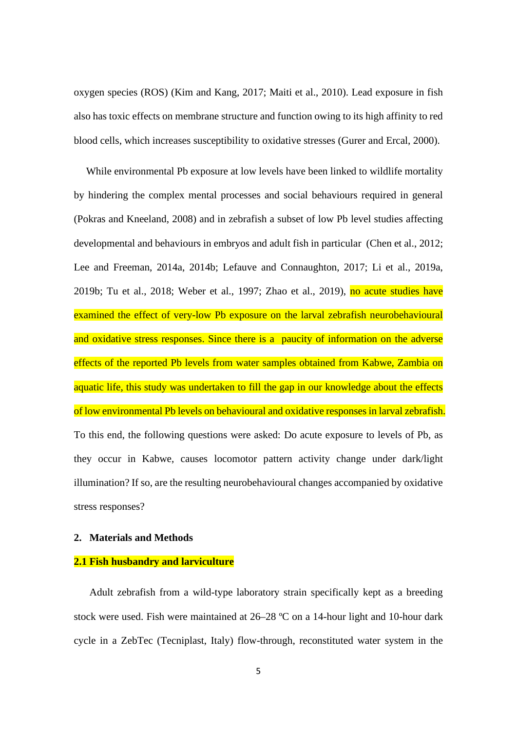oxygen species (ROS) (Kim and Kang, 2017; Maiti et al., 2010). Lead exposure in fish also has toxic effects on membrane structure and function owing to its high affinity to red blood cells, which increases susceptibility to oxidative stresses (Gurer and Ercal, 2000).

While environmental Pb exposure at low levels have been linked to wildlife mortality by hindering the complex mental processes and social behaviours required in general (Pokras and Kneeland, 2008) and in zebrafish a subset of low Pb level studies affecting developmental and behaviours in embryos and adult fish in particular (Chen et al., 2012; Lee and Freeman, 2014a, 2014b; Lefauve and Connaughton, 2017; Li et al., 2019a, 2019b; Tu et al., 2018; Weber et al., 1997; Zhao et al., 2019), no acute studies have examined the effect of very-low Pb exposure on the larval zebrafish neurobehavioural and oxidative stress responses. Since there is a paucity of information on the adverse effects of the reported Pb levels from water samples obtained from Kabwe, Zambia on aquatic life, this study was undertaken to fill the gap in our knowledge about the effects of low environmental Pb levels on behavioural and oxidative responses in larval zebrafish. To this end, the following questions were asked: Do acute exposure to levels of Pb, as they occur in Kabwe, causes locomotor pattern activity change under dark/light illumination? If so, are the resulting neurobehavioural changes accompanied by oxidative stress responses?

## **2. Materials and Methods**

### **2.1 Fish husbandry and larviculture**

Adult zebrafish from a wild-type laboratory strain specifically kept as a breeding stock were used. Fish were maintained at 26–28 °C on a 14-hour light and 10-hour dark cycle in a ZebTec (Tecniplast, Italy) flow-through, reconstituted water system in the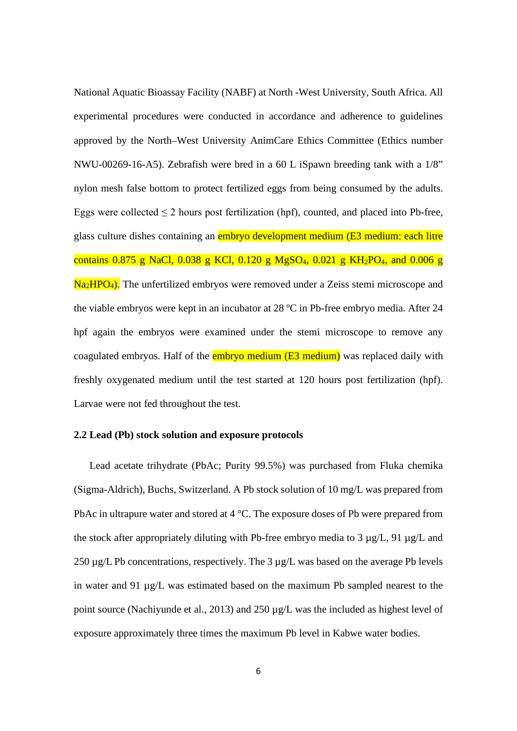National Aquatic Bioassay Facility (NABF) at North -West University, South Africa. All experimental procedures were conducted in accordance and adherence to guidelines approved by the North–West University AnimCare Ethics Committee (Ethics number NWU-00269-16-A5). Zebrafish were bred in a 60 L iSpawn breeding tank with a 1/8" nylon mesh false bottom to protect fertilized eggs from being consumed by the adults. Eggs were collected  $\leq 2$  hours post fertilization (hpf), counted, and placed into Pb-free, glass culture dishes containing an embryo development medium (E3 medium: each litre contains 0.875 g NaCl, 0.038 g KCl, 0.120 g MgSO<sub>4</sub>, 0.021 g KH<sub>2</sub>PO<sub>4</sub>, and 0.006 g  $Na<sub>2</sub>HPO<sub>4</sub>$ ). The unfertilized embryos were removed under a Zeiss stemi microscope and the viable embryos were kept in an incubator at 28 ºC in Pb-free embryo media. After 24 hpf again the embryos were examined under the stemi microscope to remove any coagulated embryos. Half of the **embryo medium (E3 medium)** was replaced daily with freshly oxygenated medium until the test started at 120 hours post fertilization (hpf). Larvae were not fed throughout the test.

## **2.2 Lead (Pb) stock solution and exposure protocols**

Lead acetate trihydrate (PbAc; Purity 99.5%) was purchased from Fluka chemika (Sigma-Aldrich), Buchs, Switzerland. A Pb stock solution of 10 mg/L was prepared from PbAc in ultrapure water and stored at 4 °C. The exposure doses of Pb were prepared from the stock after appropriately diluting with Pb-free embryo media to  $3 \mu g/L$ , 91  $\mu g/L$  and  $250 \mu g/L$  Pb concentrations, respectively. The 3  $\mu g/L$  was based on the average Pb levels in water and 91 µg/L was estimated based on the maximum Pb sampled nearest to the point source (Nachiyunde et al., 2013) and 250 µg/L was the included as highest level of exposure approximately three times the maximum Pb level in Kabwe water bodies.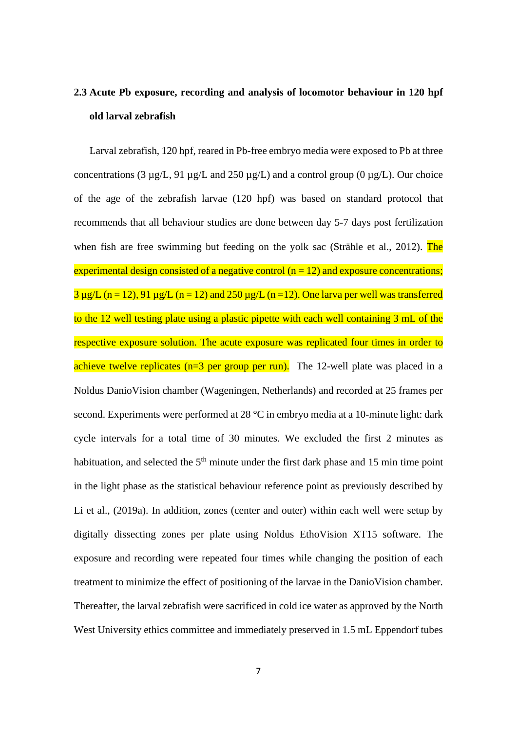# **2.3 Acute Pb exposure, recording and analysis of locomotor behaviour in 120 hpf old larval zebrafish**

Larval zebrafish, 120 hpf, reared in Pb-free embryo media were exposed to Pb at three concentrations (3  $\mu$ g/L, 91  $\mu$ g/L and 250  $\mu$ g/L) and a control group (0  $\mu$ g/L). Our choice of the age of the zebrafish larvae (120 hpf) was based on standard protocol that recommends that all behaviour studies are done between day 5-7 days post fertilization when fish are free swimming but feeding on the yolk sac (Strähle et al., 2012). The experimental design consisted of a negative control ( $n = 12$ ) and exposure concentrations;  $3 \mu$ g/L (n = 12), 91  $\mu$ g/L (n = 12) and 250  $\mu$ g/L (n = 12). One larva per well was transferred to the 12 well testing plate using a plastic pipette with each well containing 3 mL of the respective exposure solution. The acute exposure was replicated four times in order to achieve twelve replicates  $(n=3$  per group per run). The 12-well plate was placed in a Noldus DanioVision chamber (Wageningen, Netherlands) and recorded at 25 frames per second. Experiments were performed at 28 °C in embryo media at a 10-minute light: dark cycle intervals for a total time of 30 minutes. We excluded the first 2 minutes as habituation, and selected the  $5<sup>th</sup>$  minute under the first dark phase and 15 min time point in the light phase as the statistical behaviour reference point as previously described by Li et al., (2019a). In addition, zones (center and outer) within each well were setup by digitally dissecting zones per plate using Noldus EthoVision XT15 software. The exposure and recording were repeated four times while changing the position of each treatment to minimize the effect of positioning of the larvae in the DanioVision chamber. Thereafter, the larval zebrafish were sacrificed in cold ice water as approved by the North West University ethics committee and immediately preserved in 1.5 mL Eppendorf tubes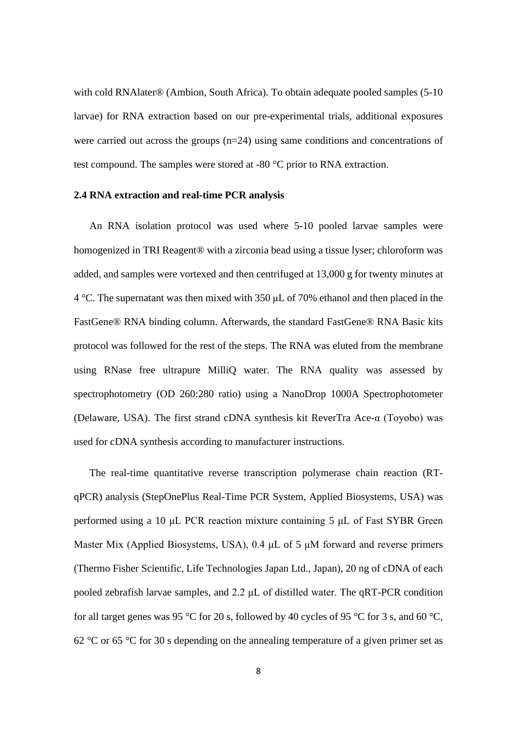with cold RNAlater® (Ambion, South Africa). To obtain adequate pooled samples (5-10 larvae) for RNA extraction based on our pre-experimental trials, additional exposures were carried out across the groups  $(n=24)$  using same conditions and concentrations of test compound. The samples were stored at -80 °C prior to RNA extraction.

### **2.4 RNA extraction and real-time PCR analysis**

An RNA isolation protocol was used where 5-10 pooled larvae samples were homogenized in TRI Reagent<sup>®</sup> with a zirconia bead using a tissue lyser; chloroform was added, and samples were vortexed and then centrifuged at 13,000 g for twenty minutes at 4 °C. The supernatant was then mixed with 350 μL of 70% ethanol and then placed in the FastGene® RNA binding column. Afterwards, the standard FastGene® RNA Basic kits protocol was followed for the rest of the steps. The RNA was eluted from the membrane using RNase free ultrapure MilliQ water. The RNA quality was assessed by spectrophotometry (OD 260:280 ratio) using a NanoDrop 1000A Spectrophotometer (Delaware, USA). The first strand cDNA synthesis kit ReverTra Ace-α (Toyobo) was used for cDNA synthesis according to manufacturer instructions.

The real-time quantitative reverse transcription polymerase chain reaction (RTqPCR) analysis (StepOnePlus Real-Time PCR System, Applied Biosystems, USA) was performed using a 10 μL PCR reaction mixture containing 5 μL of Fast SYBR Green Master Mix (Applied Biosystems, USA), 0.4 μL of 5 μM forward and reverse primers (Thermo Fisher Scientific, Life Technologies Japan Ltd., Japan), 20 ng of cDNA of each pooled zebrafish larvae samples, and 2.2 μL of distilled water. The qRT-PCR condition for all target genes was 95 °C for 20 s, followed by 40 cycles of 95 °C for 3 s, and 60 °C, 62 °C or 65 °C for 30 s depending on the annealing temperature of a given primer set as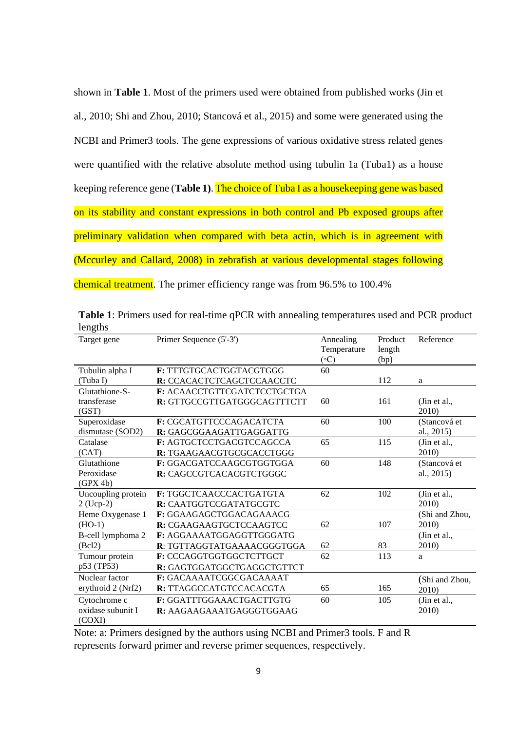shown in **Table 1**. Most of the primers used were obtained from published works (Jin et al., 2010; Shi and Zhou, 2010; Stancová et al., 2015) and some were generated using the NCBI and Primer3 tools. The gene expressions of various oxidative stress related genes were quantified with the relative absolute method using tubulin 1a (Tuba1) as a house keeping reference gene (**Table 1)**. The choice of Tuba I as a housekeeping gene was based on its stability and constant expressions in both control and Pb exposed groups after preliminary validation when compared with beta actin, which is in agreement with (Mccurley and Callard, 2008) in zebrafish at various developmental stages following chemical treatment. The primer efficiency range was from 96.5% to 100.4%

| $10115$ and<br>Target gene | Primer Sequence (5'-3')     | Annealing    | Product | Reference      |
|----------------------------|-----------------------------|--------------|---------|----------------|
|                            |                             | Temperature  | length  |                |
|                            |                             | $( \circ C)$ | (bp)    |                |
| Tubulin alpha I            | F: TTTGTGCACTGGTACGTGGG     | 60           |         |                |
| (Tuba I)                   | R: CCACACTCTCAGCTCCAACCTC   |              | 112     | a              |
| Glutathione-S-             | F: ACAACCTGTTCGATCTCCTGCTGA |              |         |                |
|                            |                             |              |         |                |
| transferase                | R: GTTGCCGTTGATGGGCAGTTTCTT | 60           | 161     | (Jin et al.,   |
| (GST)                      |                             |              |         | 2010)          |
| Superoxidase               | F: CGCATGTTCCCAGACATCTA     | 60           | 100     | (Stancová et   |
| dismutase (SOD2)           | R: GAGCGGAAGATTGAGGATTG     |              |         | al., 2015)     |
| Catalase                   | F: AGTGCTCCTGACGTCCAGCCA    | 65           | 115     | (Jin et al.,   |
| (CAT)                      | R: TGAAGAACGTGCGCACCTGGG    |              |         | 2010)          |
| Glutathione                | F: GGACGATCCAAGCGTGGTGGA    | 60           | 148     | (Stancová et   |
| Peroxidase                 | R: CAGCCGTCACACGTCTGGGC     |              |         | al., 2015)     |
| (GPX 4b)                   |                             |              |         |                |
| Uncoupling protein         | F: TGGCTCAACCCACTGATGTA     | 62           | 102     | (Jin et al.,   |
| $2$ (Ucp-2)                | R: CAATGGTCCGATATGCGTC      |              |         | 2010)          |
| Heme Oxygenase 1           | F: GGAAGAGCTGGACAGAAACG     |              |         | (Shi and Zhou, |
| $(HO-1)$                   | R: CGAAGAAGTGCTCCAAGTCC     | 62           | 107     | 2010)          |
| B-cell lymphoma 2          | F: AGGAAAATGGAGGTTGGGATG    |              |         | (Jin et al.,   |
| (Bcl2)                     | R: TGTTAGGTATGAAAACGGGTGGA  | 62           | 83      | 2010)          |
| Tumour protein             | F: CCCAGGTGGTGGCTCTTGCT     | 62           | 113     | a              |
| p53 (TP53)                 | R: GAGTGGATGGCTGAGGCTGTTCT  |              |         |                |
| Nuclear factor             | F: GACAAAATCGGCGACAAAAT     |              |         | (Shi and Zhou, |
| erythroid 2 (Nrf2)         | R: TTAGGCCATGTCCACACGTA     | 65           | 165     | 2010)          |
| Cytochrome c               | F: GGATTTGGAAACTGACTTGTG    | 60           | 105     | (Jin et al.,   |
| oxidase subunit I          | R: AAGAAGAAATGAGGGTGGAAG    |              |         | 2010)          |
| (COXI)                     |                             |              |         |                |

**Table 1**: Primers used for real-time qPCR with annealing temperatures used and PCR product lengths

Note: a: Primers designed by the authors using NCBI and Primer3 tools. F and R represents forward primer and reverse primer sequences, respectively.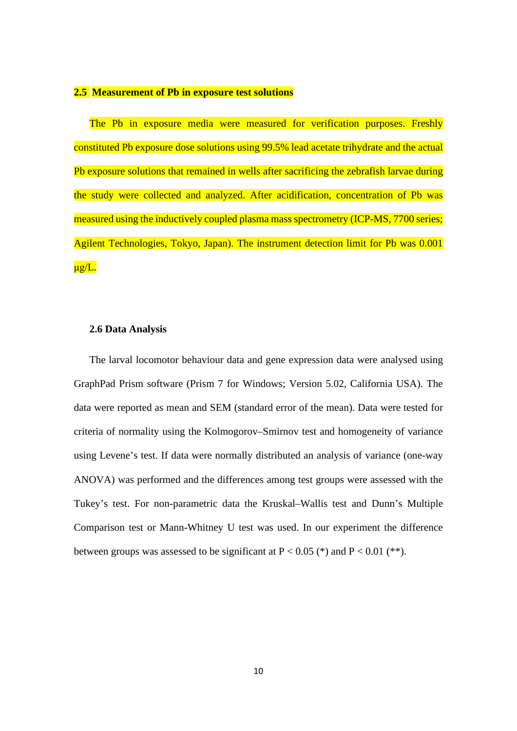## **2.5 Measurement of Pb in exposure test solutions**

The Pb in exposure media were measured for verification purposes. Freshly constituted Pb exposure dose solutions using 99.5% lead acetate trihydrate and the actual Pb exposure solutions that remained in wells after sacrificing the zebrafish larvae during the study were collected and analyzed. After acidification, concentration of Pb was measured using the inductively coupled plasma mass spectrometry (ICP-MS, 7700 series; Agilent Technologies, Tokyo, Japan). The instrument detection limit for Pb was 0.001  $\mu$ g/L.

### **2.6 Data Analysis**

The larval locomotor behaviour data and gene expression data were analysed using GraphPad Prism software (Prism 7 for Windows; Version 5.02, California USA). The data were reported as mean and SEM (standard error of the mean). Data were tested for criteria of normality using the Kolmogorov–Smirnov test and homogeneity of variance using Levene's test. If data were normally distributed an analysis of variance (one-way ANOVA) was performed and the differences among test groups were assessed with the Tukey's test. For non-parametric data the Kruskal–Wallis test and Dunn's Multiple Comparison test or Mann-Whitney U test was used. In our experiment the difference between groups was assessed to be significant at  $P < 0.05$  (\*) and  $P < 0.01$  (\*\*).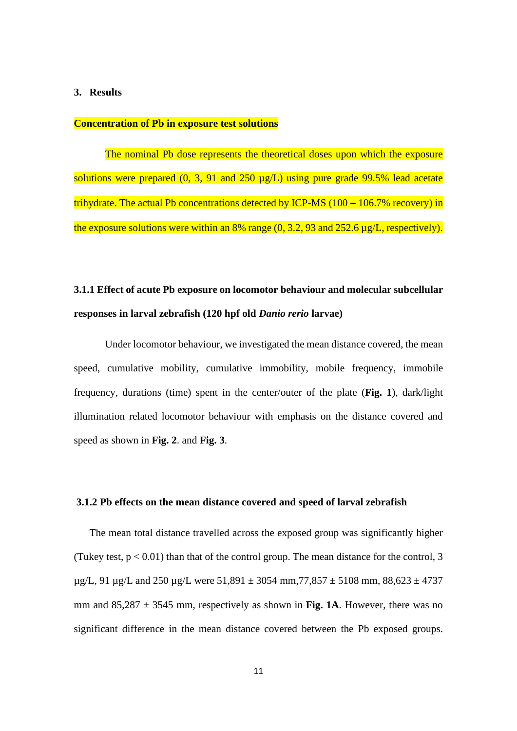### **3. Results**

## **Concentration of Pb in exposure test solutions**

The nominal Pb dose represents the theoretical doses upon which the exposure solutions were prepared  $(0, 3, 91$  and  $250 \mu g/L)$  using pure grade 99.5% lead acetate trihydrate. The actual Pb concentrations detected by ICP-MS (100 − 106.7% recovery) in the exposure solutions were within an 8% range (0, 3.2, 93 and 252.6 µg/L, respectively).

## **3.1.1 Effect of acute Pb exposure on locomotor behaviour and molecular subcellular responses in larval zebrafish (120 hpf old** *Danio rerio* **larvae)**

Under locomotor behaviour, we investigated the mean distance covered, the mean speed, cumulative mobility, cumulative immobility, mobile frequency, immobile frequency, durations (time) spent in the center/outer of the plate (**Fig. 1**), dark/light illumination related locomotor behaviour with emphasis on the distance covered and speed as shown in **Fig. 2**. and **Fig. 3**.

### **3.1.2 Pb effects on the mean distance covered and speed of larval zebrafish**

The mean total distance travelled across the exposed group was significantly higher (Tukey test,  $p < 0.01$ ) than that of the control group. The mean distance for the control, 3  $\mu$ g/L, 91  $\mu$ g/L and 250  $\mu$ g/L were 51,891  $\pm$  3054 mm, 77,857  $\pm$  5108 mm, 88,623  $\pm$  4737 mm and  $85,287 \pm 3545$  mm, respectively as shown in Fig. 1A. However, there was no significant difference in the mean distance covered between the Pb exposed groups.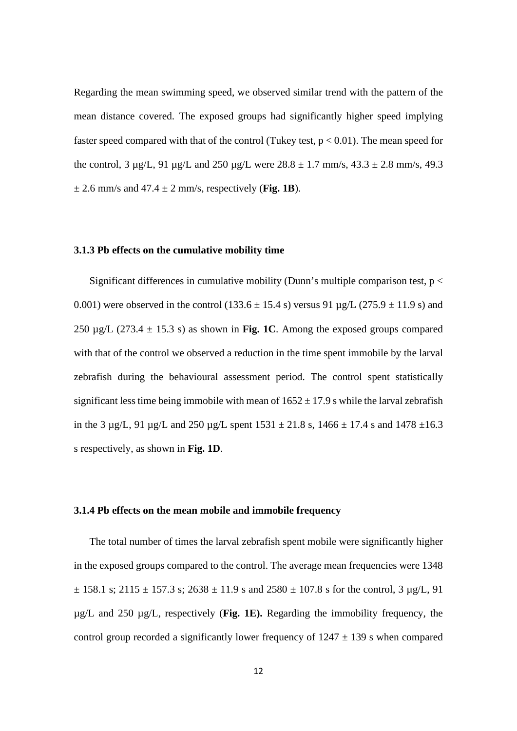Regarding the mean swimming speed, we observed similar trend with the pattern of the mean distance covered. The exposed groups had significantly higher speed implying faster speed compared with that of the control (Tukey test,  $p < 0.01$ ). The mean speed for the control,  $3 \mu g/L$ ,  $91 \mu g/L$  and  $250 \mu g/L$  were  $28.8 \pm 1.7$  mm/s,  $43.3 \pm 2.8$  mm/s,  $49.3$  $\pm$  2.6 mm/s and 47.4  $\pm$  2 mm/s, respectively (**Fig. 1B**).

### **3.1.3 Pb effects on the cumulative mobility time**

Significant differences in cumulative mobility (Dunn's multiple comparison test,  $p <$ 0.001) were observed in the control (133.6  $\pm$  15.4 s) versus 91 µg/L (275.9  $\pm$  11.9 s) and 250  $\mu$ g/L (273.4  $\pm$  15.3 s) as shown in **Fig. 1C**. Among the exposed groups compared with that of the control we observed a reduction in the time spent immobile by the larval zebrafish during the behavioural assessment period. The control spent statistically significant less time being immobile with mean of  $1652 \pm 17.9$  s while the larval zebrafish in the 3  $\mu$ g/L, 91  $\mu$ g/L and 250  $\mu$ g/L spent 1531  $\pm$  21.8 s, 1466  $\pm$  17.4 s and 1478  $\pm$ 16.3 s respectively, as shown in **Fig. 1D**.

## **3.1.4 Pb effects on the mean mobile and immobile frequency**

The total number of times the larval zebrafish spent mobile were significantly higher in the exposed groups compared to the control. The average mean frequencies were 1348  $\pm$  158.1 s; 2115  $\pm$  157.3 s; 2638  $\pm$  11.9 s and 2580  $\pm$  107.8 s for the control, 3 µg/L, 91 µg/L and 250 µg/L, respectively (**Fig. 1E).** Regarding the immobility frequency, the control group recorded a significantly lower frequency of  $1247 \pm 139$  s when compared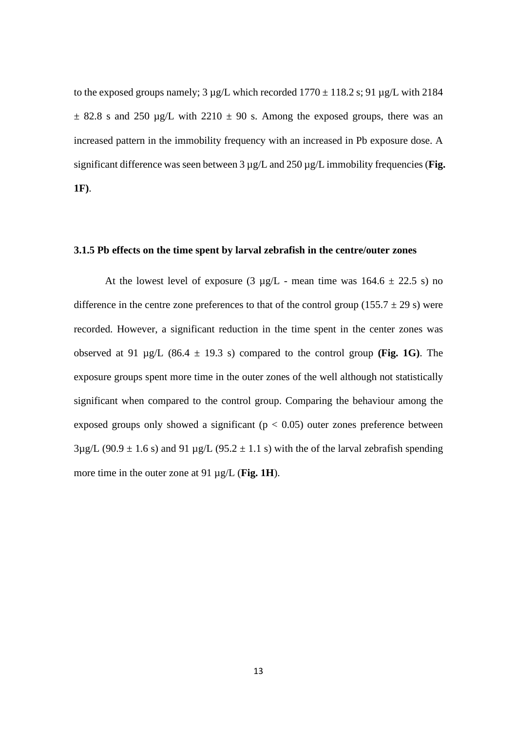to the exposed groups namely;  $3 \mu g/L$  which recorded  $1770 \pm 118.2$  s; 91  $\mu g/L$  with 2184  $\pm$  82.8 s and 250 µg/L with 2210  $\pm$  90 s. Among the exposed groups, there was an increased pattern in the immobility frequency with an increased in Pb exposure dose. A significant difference was seen between 3  $\mu$ g/L and 250  $\mu$ g/L immobility frequencies (**Fig. 1F)**.

### **3.1.5 Pb effects on the time spent by larval zebrafish in the centre/outer zones**

At the lowest level of exposure  $(3 \mu g/L$  - mean time was  $164.6 \pm 22.5$  s) no difference in the centre zone preferences to that of the control group (155.7  $\pm$  29 s) were recorded. However, a significant reduction in the time spent in the center zones was observed at 91  $\mu$ g/L (86.4  $\pm$  19.3 s) compared to the control group **(Fig. 1G)**. The exposure groups spent more time in the outer zones of the well although not statistically significant when compared to the control group. Comparing the behaviour among the exposed groups only showed a significant ( $p < 0.05$ ) outer zones preference between  $3\mu$ g/L (90.9  $\pm$  1.6 s) and 91  $\mu$ g/L (95.2  $\pm$  1.1 s) with the of the larval zebrafish spending more time in the outer zone at 91 µg/L (**Fig. 1H**).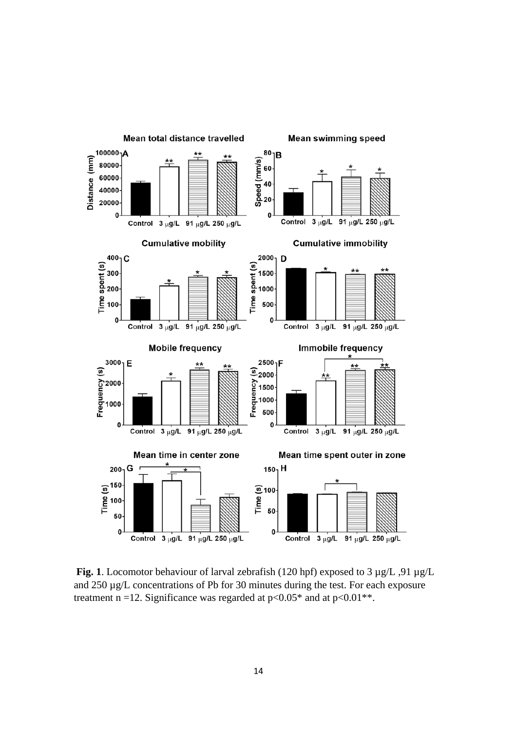

**Fig. 1**. Locomotor behaviour of larval zebrafish (120 hpf) exposed to 3 µg/L ,91 µg/L and 250 µg/L concentrations of Pb for 30 minutes during the test. For each exposure treatment n =12. Significance was regarded at  $p<0.05*$  and at  $p<0.01**$ .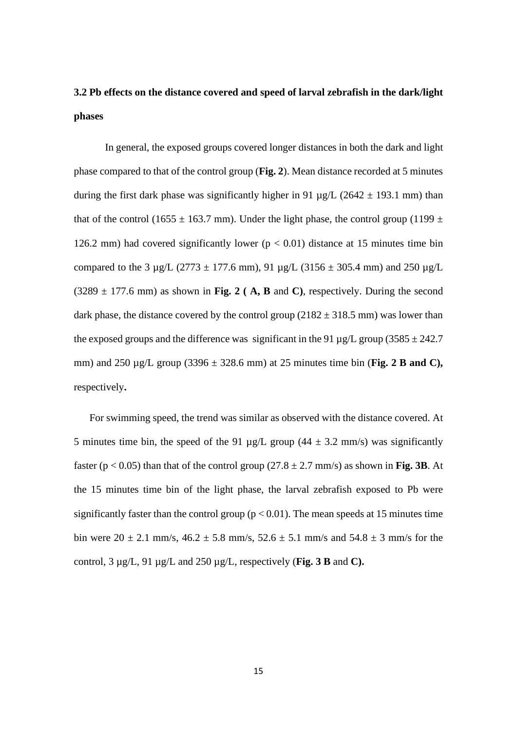# **3.2 Pb effects on the distance covered and speed of larval zebrafish in the dark/light phases**

In general, the exposed groups covered longer distances in both the dark and light phase compared to that of the control group (**Fig. 2**). Mean distance recorded at 5 minutes during the first dark phase was significantly higher in 91  $\mu$ g/L (2642  $\pm$  193.1 mm) than that of the control (1655  $\pm$  163.7 mm). Under the light phase, the control group (1199  $\pm$ 126.2 mm) had covered significantly lower ( $p < 0.01$ ) distance at 15 minutes time bin compared to the 3  $\mu$ g/L (2773  $\pm$  177.6 mm), 91  $\mu$ g/L (3156  $\pm$  305.4 mm) and 250  $\mu$ g/L  $(3289 \pm 177.6 \text{ mm})$  as shown in Fig. 2 (A, B and C), respectively. During the second dark phase, the distance covered by the control group  $(2182 \pm 318.5 \text{ mm})$  was lower than the exposed groups and the difference was significant in the 91  $\mu$ g/L group (3585  $\pm$  242.7 mm) and 250 µg/L group (3396 ± 328.6 mm) at 25 minutes time bin (**Fig. 2 B and C),**  respectively**.**

For swimming speed, the trend was similar as observed with the distance covered. At 5 minutes time bin, the speed of the 91  $\mu$ g/L group (44  $\pm$  3.2 mm/s) was significantly faster ( $p < 0.05$ ) than that of the control group (27.8  $\pm$  2.7 mm/s) as shown in **Fig. 3B**. At the 15 minutes time bin of the light phase, the larval zebrafish exposed to Pb were significantly faster than the control group ( $p < 0.01$ ). The mean speeds at 15 minutes time bin were  $20 \pm 2.1$  mm/s,  $46.2 \pm 5.8$  mm/s,  $52.6 \pm 5.1$  mm/s and  $54.8 \pm 3$  mm/s for the control, 3 µg/L, 91 µg/L and 250 µg/L, respectively (**Fig. 3 B** and **C).**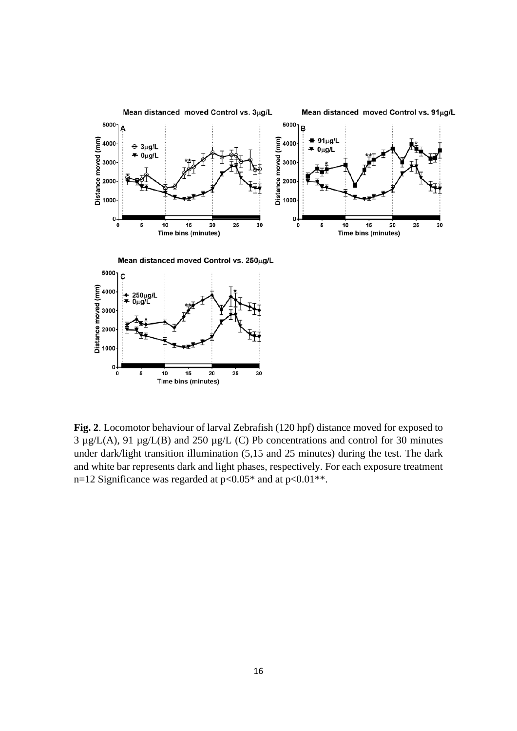

**Fig. 2**. Locomotor behaviour of larval Zebrafish (120 hpf) distance moved for exposed to  $3 \mu g/L(A)$ , 91  $\mu g/L(B)$  and 250  $\mu g/L(C)$  Pb concentrations and control for 30 minutes under dark/light transition illumination (5,15 and 25 minutes) during the test. The dark and white bar represents dark and light phases, respectively. For each exposure treatment n=12 Significance was regarded at  $p<0.05^*$  and at  $p<0.01^{**}$ .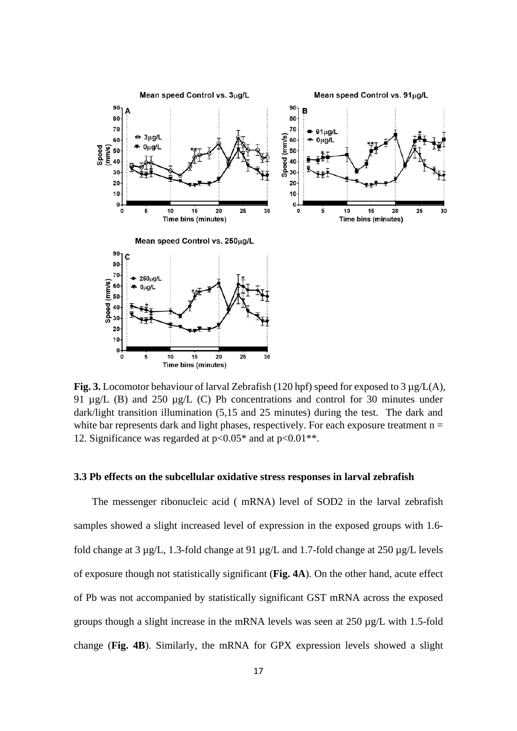

**Fig. 3.** Locomotor behaviour of larval Zebrafish (120 hpf) speed for exposed to 3 µg/L(A), 91 µg/L (B) and 250 µg/L (C) Pb concentrations and control for 30 minutes under dark/light transition illumination (5,15 and 25 minutes) during the test. The dark and white bar represents dark and light phases, respectively. For each exposure treatment  $n =$ 12. Significance was regarded at  $p<0.05^*$  and at  $p<0.01^{**}$ .

## **3.3 Pb effects on the subcellular oxidative stress responses in larval zebrafish**

The messenger ribonucleic acid ( mRNA) level of SOD2 in the larval zebrafish samples showed a slight increased level of expression in the exposed groups with 1.6 fold change at 3 µg/L, 1.3-fold change at 91 µg/L and 1.7-fold change at 250 µg/L levels of exposure though not statistically significant (**Fig. 4A**). On the other hand, acute effect of Pb was not accompanied by statistically significant GST mRNA across the exposed groups though a slight increase in the mRNA levels was seen at 250 µg/L with 1.5-fold change (**Fig. 4B**). Similarly, the mRNA for GPX expression levels showed a slight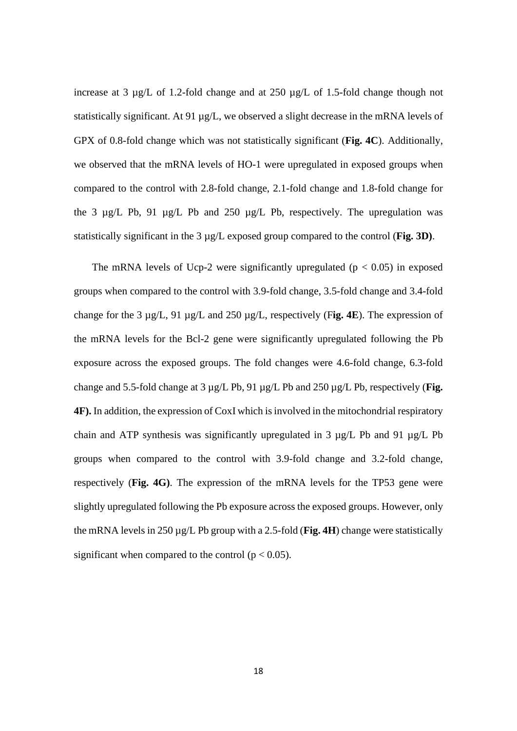increase at 3  $\mu$ g/L of 1.2-fold change and at 250  $\mu$ g/L of 1.5-fold change though not statistically significant. At 91 µg/L, we observed a slight decrease in the mRNA levels of GPX of 0.8-fold change which was not statistically significant (**Fig. 4C**). Additionally, we observed that the mRNA levels of HO-1 were upregulated in exposed groups when compared to the control with 2.8-fold change, 2.1-fold change and 1.8-fold change for the 3 µg/L Pb, 91 µg/L Pb and 250 µg/L Pb, respectively. The upregulation was statistically significant in the 3 µg/L exposed group compared to the control (**Fig. 3D)**.

The mRNA levels of Ucp-2 were significantly upregulated ( $p < 0.05$ ) in exposed groups when compared to the control with 3.9-fold change, 3.5-fold change and 3.4-fold change for the 3 µg/L, 91 µg/L and 250 µg/L, respectively (F**ig. 4E**). The expression of the mRNA levels for the Bcl-2 gene were significantly upregulated following the Pb exposure across the exposed groups. The fold changes were 4.6-fold change, 6.3-fold change and 5.5-fold change at 3 µg/L Pb, 91 µg/L Pb and 250 µg/L Pb, respectively (**Fig. 4F).** In addition, the expression of CoxI which is involved in the mitochondrial respiratory chain and ATP synthesis was significantly upregulated in 3 µg/L Pb and 91 µg/L Pb groups when compared to the control with 3.9-fold change and 3.2-fold change, respectively (**Fig. 4G)**. The expression of the mRNA levels for the TP53 gene were slightly upregulated following the Pb exposure across the exposed groups. However, only the mRNA levels in 250 µg/L Pb group with a 2.5-fold (**Fig. 4H**) change were statistically significant when compared to the control ( $p < 0.05$ ).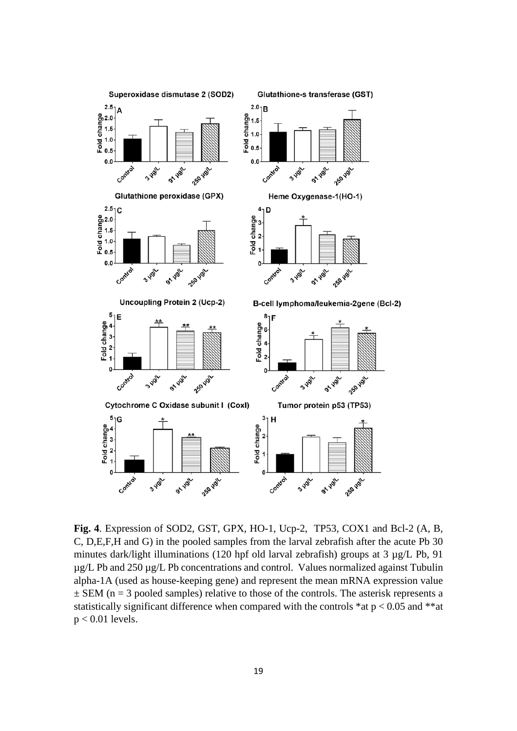

**Fig. 4**. Expression of SOD2, GST, GPX, HO-1, Ucp-2, TP53, COX1 and Bcl-2 (A, B, C, D,E,F,H and G) in the pooled samples from the larval zebrafish after the acute Pb 30 minutes dark/light illuminations (120 hpf old larval zebrafish) groups at 3 µg/L Pb, 91 µg/L Pb and 250 µg/L Pb concentrations and control. Values normalized against Tubulin alpha-1A (used as house-keeping gene) and represent the mean mRNA expression value  $\pm$  SEM (n = 3 pooled samples) relative to those of the controls. The asterisk represents a statistically significant difference when compared with the controls  $*at p < 0.05$  and  $**at$  $p < 0.01$  levels.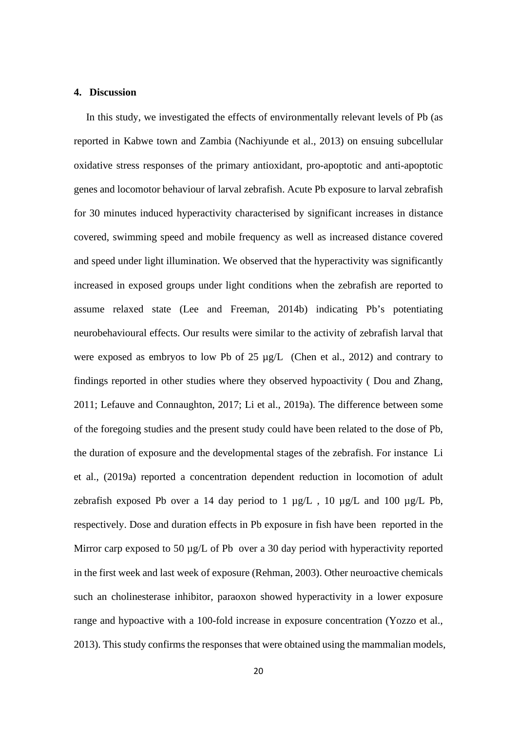### **4. Discussion**

In this study, we investigated the effects of environmentally relevant levels of Pb (as reported in Kabwe town and Zambia (Nachiyunde et al., 2013) on ensuing subcellular oxidative stress responses of the primary antioxidant, pro-apoptotic and anti-apoptotic genes and locomotor behaviour of larval zebrafish. Acute Pb exposure to larval zebrafish for 30 minutes induced hyperactivity characterised by significant increases in distance covered, swimming speed and mobile frequency as well as increased distance covered and speed under light illumination. We observed that the hyperactivity was significantly increased in exposed groups under light conditions when the zebrafish are reported to assume relaxed state (Lee and Freeman, 2014b) indicating Pb's potentiating neurobehavioural effects. Our results were similar to the activity of zebrafish larval that were exposed as embryos to low Pb of 25 µg/L (Chen et al., 2012) and contrary to findings reported in other studies where they observed hypoactivity ( Dou and Zhang, 2011; Lefauve and Connaughton, 2017; Li et al., 2019a). The difference between some of the foregoing studies and the present study could have been related to the dose of Pb, the duration of exposure and the developmental stages of the zebrafish. For instance Li et al., (2019a) reported a concentration dependent reduction in locomotion of adult zebrafish exposed Pb over a 14 day period to 1  $\mu$ g/L, 10  $\mu$ g/L and 100  $\mu$ g/L Pb, respectively. Dose and duration effects in Pb exposure in fish have been reported in the Mirror carp exposed to 50  $\mu$ g/L of Pb over a 30 day period with hyperactivity reported in the first week and last week of exposure (Rehman, 2003). Other neuroactive chemicals such an cholinesterase inhibitor, paraoxon showed hyperactivity in a lower exposure range and hypoactive with a 100-fold increase in exposure concentration (Yozzo et al., 2013). This study confirms the responses that were obtained using the mammalian models,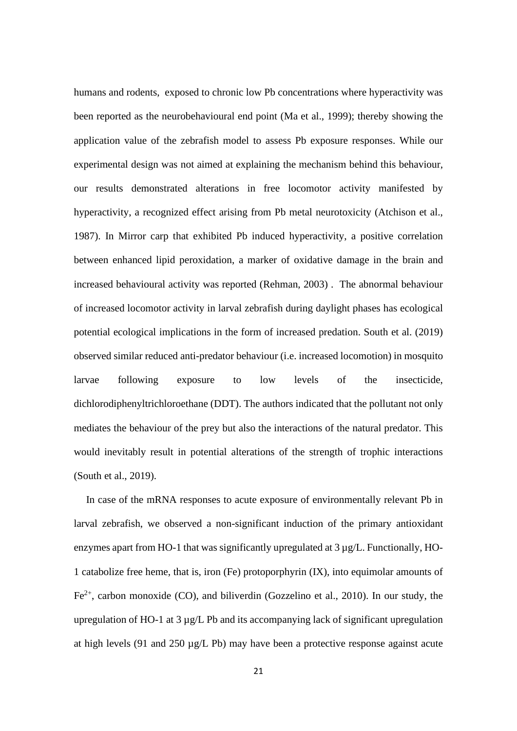humans and rodents, exposed to chronic low Pb concentrations where hyperactivity was been reported as the neurobehavioural end point (Ma et al., 1999); thereby showing the application value of the zebrafish model to assess Pb exposure responses. While our experimental design was not aimed at explaining the mechanism behind this behaviour, our results demonstrated alterations in free locomotor activity manifested by hyperactivity, a recognized effect arising from Pb metal neurotoxicity (Atchison et al., 1987). In Mirror carp that exhibited Pb induced hyperactivity, a positive correlation between enhanced lipid peroxidation, a marker of oxidative damage in the brain and increased behavioural activity was reported (Rehman, 2003) . The abnormal behaviour of increased locomotor activity in larval zebrafish during daylight phases has ecological potential ecological implications in the form of increased predation. South et al. (2019) observed similar reduced anti-predator behaviour (i.e. increased locomotion) in mosquito larvae following exposure to low levels of the insecticide, dichlorodiphenyltrichloroethane (DDT). The authors indicated that the pollutant not only mediates the behaviour of the prey but also the interactions of the natural predator. This would inevitably result in potential alterations of the strength of trophic interactions (South et al., 2019).

In case of the mRNA responses to acute exposure of environmentally relevant Pb in larval zebrafish, we observed a non-significant induction of the primary antioxidant enzymes apart from HO-1 that was significantly upregulated at 3 µg/L. Functionally, HO-1 catabolize free heme, that is, iron (Fe) protoporphyrin (IX), into equimolar amounts of  $Fe<sup>2+</sup>$ , carbon monoxide (CO), and biliverdin (Gozzelino et al., 2010). In our study, the upregulation of HO-1 at 3 µg/L Pb and its accompanying lack of significant upregulation at high levels (91 and 250  $\mu$ g/L Pb) may have been a protective response against acute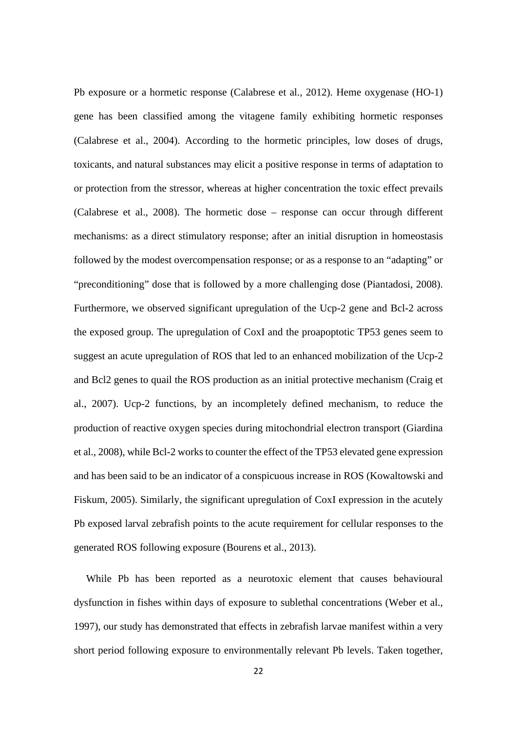Pb exposure or a hormetic response (Calabrese et al., 2012). Heme oxygenase (HO-1) gene has been classified among the vitagene family exhibiting hormetic responses (Calabrese et al., 2004). According to the hormetic principles, low doses of drugs, toxicants, and natural substances may elicit a positive response in terms of adaptation to or protection from the stressor, whereas at higher concentration the toxic effect prevails (Calabrese et al., 2008). The hormetic dose – response can occur through different mechanisms: as a direct stimulatory response; after an initial disruption in homeostasis followed by the modest overcompensation response; or as a response to an "adapting" or "preconditioning" dose that is followed by a more challenging dose (Piantadosi, 2008). Furthermore, we observed significant upregulation of the Ucp-2 gene and Bcl-2 across the exposed group. The upregulation of CoxI and the proapoptotic TP53 genes seem to suggest an acute upregulation of ROS that led to an enhanced mobilization of the Ucp-2 and Bcl2 genes to quail the ROS production as an initial protective mechanism (Craig et al., 2007). Ucp-2 functions, by an incompletely defined mechanism, to reduce the production of reactive oxygen species during mitochondrial electron transport (Giardina et al., 2008), while Bcl-2 works to counter the effect of the TP53 elevated gene expression and has been said to be an indicator of a conspicuous increase in ROS (Kowaltowski and Fiskum, 2005). Similarly, the significant upregulation of CoxI expression in the acutely Pb exposed larval zebrafish points to the acute requirement for cellular responses to the generated ROS following exposure (Bourens et al., 2013).

While Pb has been reported as a neurotoxic element that causes behavioural dysfunction in fishes within days of exposure to sublethal concentrations (Weber et al., 1997), our study has demonstrated that effects in zebrafish larvae manifest within a very short period following exposure to environmentally relevant Pb levels. Taken together,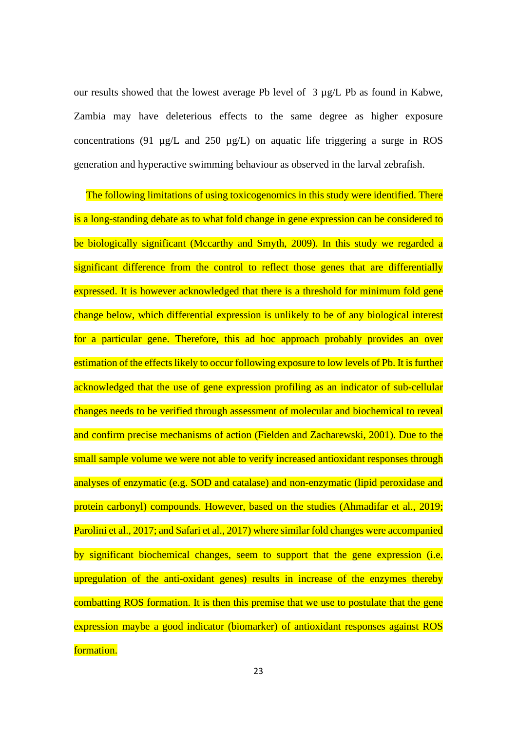our results showed that the lowest average Pb level of 3 µg/L Pb as found in Kabwe, Zambia may have deleterious effects to the same degree as higher exposure concentrations (91  $\mu$ g/L and 250  $\mu$ g/L) on aquatic life triggering a surge in ROS generation and hyperactive swimming behaviour as observed in the larval zebrafish.

The following limitations of using toxicogenomics in this study were identified. There is a long-standing debate as to what fold change in gene expression can be considered to be biologically significant (Mccarthy and Smyth, 2009). In this study we regarded a significant difference from the control to reflect those genes that are differentially expressed. It is however acknowledged that there is a threshold for minimum fold gene change below, which differential expression is unlikely to be of any biological interest for a particular gene. Therefore, this ad hoc approach probably provides an over estimation of the effects likely to occur following exposure to low levels of Pb. It is further acknowledged that the use of gene expression profiling as an indicator of sub-cellular changes needs to be verified through assessment of molecular and biochemical to reveal and confirm precise mechanisms of action (Fielden and Zacharewski, 2001). Due to the small sample volume we were not able to verify increased antioxidant responses through analyses of enzymatic (e.g. SOD and catalase) and non-enzymatic (lipid peroxidase and protein carbonyl) compounds. However, based on the studies (Ahmadifar et al., 2019; Parolini et al., 2017; and Safari et al., 2017) where similar fold changes were accompanied by significant biochemical changes, seem to support that the gene expression (i.e. upregulation of the anti-oxidant genes) results in increase of the enzymes thereby combatting ROS formation. It is then this premise that we use to postulate that the gene expression maybe a good indicator (biomarker) of antioxidant responses against ROS formation.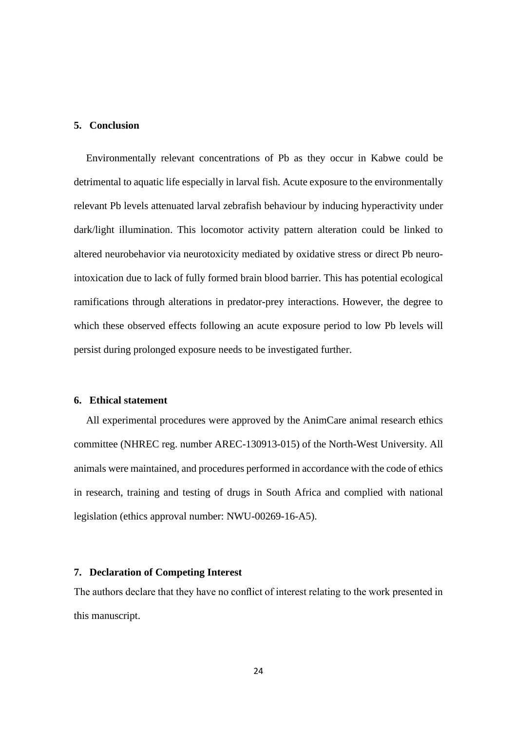## **5. Conclusion**

Environmentally relevant concentrations of Pb as they occur in Kabwe could be detrimental to aquatic life especially in larval fish. Acute exposure to the environmentally relevant Pb levels attenuated larval zebrafish behaviour by inducing hyperactivity under dark/light illumination. This locomotor activity pattern alteration could be linked to altered neurobehavior via neurotoxicity mediated by oxidative stress or direct Pb neurointoxication due to lack of fully formed brain blood barrier. This has potential ecological ramifications through alterations in predator-prey interactions. However, the degree to which these observed effects following an acute exposure period to low Pb levels will persist during prolonged exposure needs to be investigated further.

### **6. Ethical statement**

All experimental procedures were approved by the AnimCare animal research ethics committee (NHREC reg. number AREC-130913-015) of the North-West University. All animals were maintained, and procedures performed in accordance with the code of ethics in research, training and testing of drugs in South Africa and complied with national legislation (ethics approval number: NWU-00269-16-A5).

## **7. Declaration of Competing Interest**

The authors declare that they have no conflict of interest relating to the work presented in this manuscript.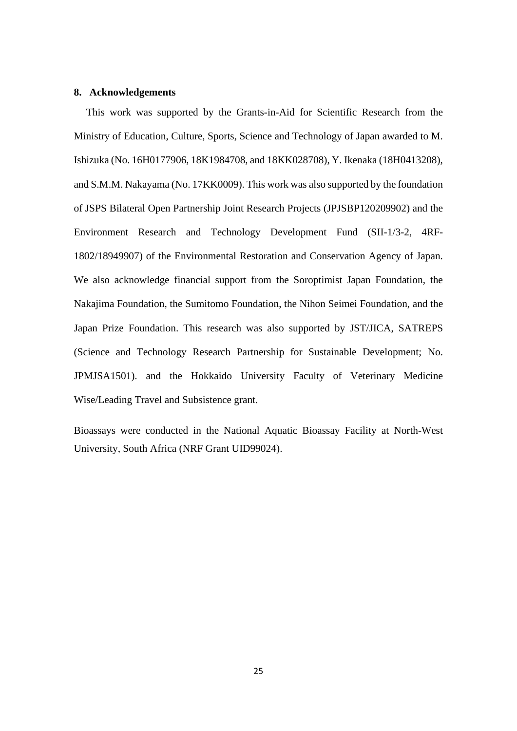### **8. Acknowledgements**

This work was supported by the Grants-in-Aid for Scientific Research from the Ministry of Education, Culture, Sports, Science and Technology of Japan awarded to M. Ishizuka (No. 16H0177906, 18K1984708, and 18KK028708), Y. Ikenaka (18H0413208), and S.M.M. Nakayama (No. 17KK0009). This work was also supported by the foundation of JSPS Bilateral Open Partnership Joint Research Projects (JPJSBP120209902) and the Environment Research and Technology Development Fund (SII-1/3-2, 4RF-1802/18949907) of the Environmental Restoration and Conservation Agency of Japan. We also acknowledge financial support from the Soroptimist Japan Foundation, the Nakajima Foundation, the Sumitomo Foundation, the Nihon Seimei Foundation, and the Japan Prize Foundation. This research was also supported by JST/JICA, SATREPS (Science and Technology Research Partnership for Sustainable Development; No. JPMJSA1501). and the Hokkaido University Faculty of Veterinary Medicine Wise/Leading Travel and Subsistence grant.

Bioassays were conducted in the National Aquatic Bioassay Facility at North-West University, South Africa (NRF Grant UID99024).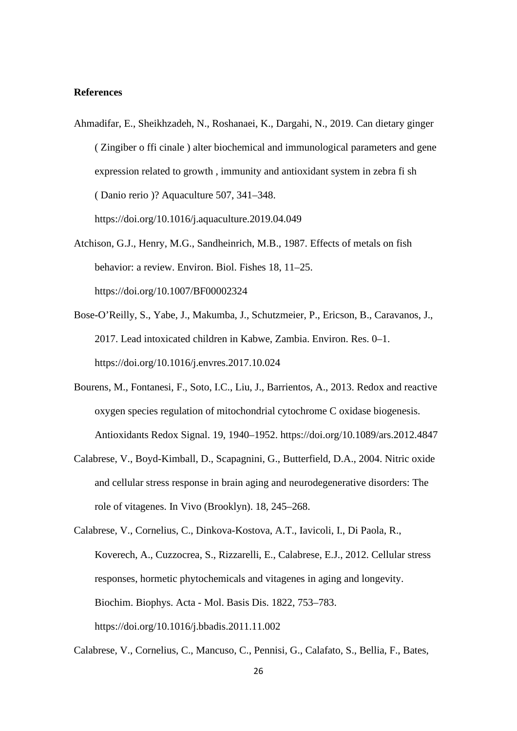### **References**

Ahmadifar, E., Sheikhzadeh, N., Roshanaei, K., Dargahi, N., 2019. Can dietary ginger ( Zingiber o ffi cinale ) alter biochemical and immunological parameters and gene expression related to growth , immunity and antioxidant system in zebra fi sh ( Danio rerio )? Aquaculture 507, 341–348.

https://doi.org/10.1016/j.aquaculture.2019.04.049

- Atchison, G.J., Henry, M.G., Sandheinrich, M.B., 1987. Effects of metals on fish behavior: a review. Environ. Biol. Fishes 18, 11–25. https://doi.org/10.1007/BF00002324
- Bose-O'Reilly, S., Yabe, J., Makumba, J., Schutzmeier, P., Ericson, B., Caravanos, J., 2017. Lead intoxicated children in Kabwe, Zambia. Environ. Res. 0–1. https://doi.org/10.1016/j.envres.2017.10.024
- Bourens, M., Fontanesi, F., Soto, I.C., Liu, J., Barrientos, A., 2013. Redox and reactive oxygen species regulation of mitochondrial cytochrome C oxidase biogenesis. Antioxidants Redox Signal. 19, 1940–1952. https://doi.org/10.1089/ars.2012.4847
- Calabrese, V., Boyd-Kimball, D., Scapagnini, G., Butterfield, D.A., 2004. Nitric oxide and cellular stress response in brain aging and neurodegenerative disorders: The role of vitagenes. In Vivo (Brooklyn). 18, 245–268.

Calabrese, V., Cornelius, C., Mancuso, C., Pennisi, G., Calafato, S., Bellia, F., Bates,

Calabrese, V., Cornelius, C., Dinkova-Kostova, A.T., Iavicoli, I., Di Paola, R., Koverech, A., Cuzzocrea, S., Rizzarelli, E., Calabrese, E.J., 2012. Cellular stress responses, hormetic phytochemicals and vitagenes in aging and longevity. Biochim. Biophys. Acta - Mol. Basis Dis. 1822, 753–783. https://doi.org/10.1016/j.bbadis.2011.11.002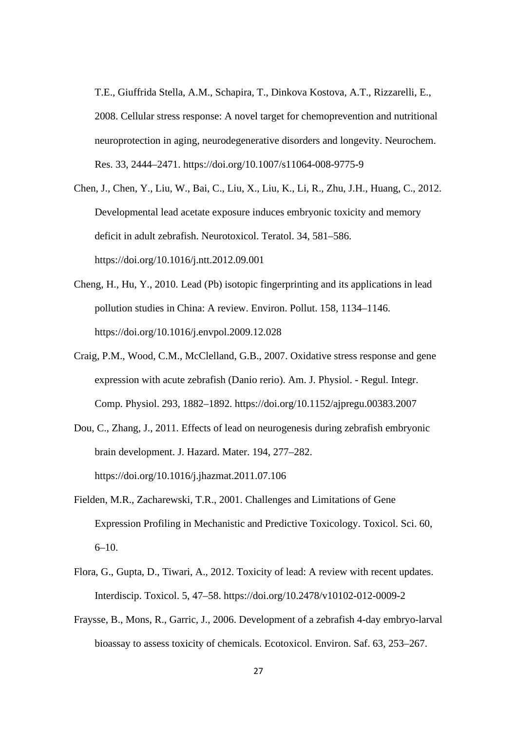T.E., Giuffrida Stella, A.M., Schapira, T., Dinkova Kostova, A.T., Rizzarelli, E., 2008. Cellular stress response: A novel target for chemoprevention and nutritional neuroprotection in aging, neurodegenerative disorders and longevity. Neurochem. Res. 33, 2444–2471. https://doi.org/10.1007/s11064-008-9775-9

- Chen, J., Chen, Y., Liu, W., Bai, C., Liu, X., Liu, K., Li, R., Zhu, J.H., Huang, C., 2012. Developmental lead acetate exposure induces embryonic toxicity and memory deficit in adult zebrafish. Neurotoxicol. Teratol. 34, 581–586. https://doi.org/10.1016/j.ntt.2012.09.001
- Cheng, H., Hu, Y., 2010. Lead (Pb) isotopic fingerprinting and its applications in lead pollution studies in China: A review. Environ. Pollut. 158, 1134–1146. https://doi.org/10.1016/j.envpol.2009.12.028
- Craig, P.M., Wood, C.M., McClelland, G.B., 2007. Oxidative stress response and gene expression with acute zebrafish (Danio rerio). Am. J. Physiol. - Regul. Integr. Comp. Physiol. 293, 1882–1892. https://doi.org/10.1152/ajpregu.00383.2007
- Dou, C., Zhang, J., 2011. Effects of lead on neurogenesis during zebrafish embryonic brain development. J. Hazard. Mater. 194, 277–282. https://doi.org/10.1016/j.jhazmat.2011.07.106
- Fielden, M.R., Zacharewski, T.R., 2001. Challenges and Limitations of Gene Expression Profiling in Mechanistic and Predictive Toxicology. Toxicol. Sci. 60,  $6-10.$
- Flora, G., Gupta, D., Tiwari, A., 2012. Toxicity of lead: A review with recent updates. Interdiscip. Toxicol. 5, 47–58. https://doi.org/10.2478/v10102-012-0009-2
- Fraysse, B., Mons, R., Garric, J., 2006. Development of a zebrafish 4-day embryo-larval bioassay to assess toxicity of chemicals. Ecotoxicol. Environ. Saf. 63, 253–267.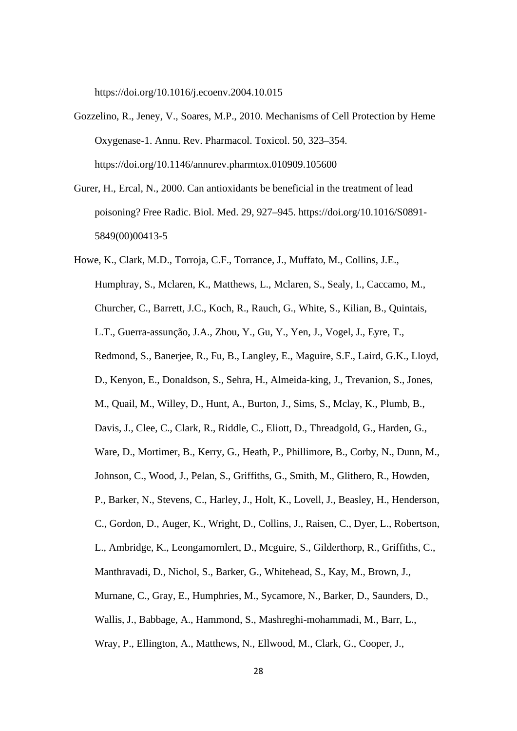https://doi.org/10.1016/j.ecoenv.2004.10.015

- Gozzelino, R., Jeney, V., Soares, M.P., 2010. Mechanisms of Cell Protection by Heme Oxygenase-1. Annu. Rev. Pharmacol. Toxicol. 50, 323–354. https://doi.org/10.1146/annurev.pharmtox.010909.105600
- Gurer, H., Ercal, N., 2000. Can antioxidants be beneficial in the treatment of lead poisoning? Free Radic. Biol. Med. 29, 927–945. https://doi.org/10.1016/S0891- 5849(00)00413-5
- Howe, K., Clark, M.D., Torroja, C.F., Torrance, J., Muffato, M., Collins, J.E., Humphray, S., Mclaren, K., Matthews, L., Mclaren, S., Sealy, I., Caccamo, M., Churcher, C., Barrett, J.C., Koch, R., Rauch, G., White, S., Kilian, B., Quintais, L.T., Guerra-assunção, J.A., Zhou, Y., Gu, Y., Yen, J., Vogel, J., Eyre, T., Redmond, S., Banerjee, R., Fu, B., Langley, E., Maguire, S.F., Laird, G.K., Lloyd, D., Kenyon, E., Donaldson, S., Sehra, H., Almeida-king, J., Trevanion, S., Jones, M., Quail, M., Willey, D., Hunt, A., Burton, J., Sims, S., Mclay, K., Plumb, B., Davis, J., Clee, C., Clark, R., Riddle, C., Eliott, D., Threadgold, G., Harden, G., Ware, D., Mortimer, B., Kerry, G., Heath, P., Phillimore, B., Corby, N., Dunn, M., Johnson, C., Wood, J., Pelan, S., Griffiths, G., Smith, M., Glithero, R., Howden, P., Barker, N., Stevens, C., Harley, J., Holt, K., Lovell, J., Beasley, H., Henderson, C., Gordon, D., Auger, K., Wright, D., Collins, J., Raisen, C., Dyer, L., Robertson, L., Ambridge, K., Leongamornlert, D., Mcguire, S., Gilderthorp, R., Griffiths, C., Manthravadi, D., Nichol, S., Barker, G., Whitehead, S., Kay, M., Brown, J., Murnane, C., Gray, E., Humphries, M., Sycamore, N., Barker, D., Saunders, D., Wallis, J., Babbage, A., Hammond, S., Mashreghi-mohammadi, M., Barr, L., Wray, P., Ellington, A., Matthews, N., Ellwood, M., Clark, G., Cooper, J.,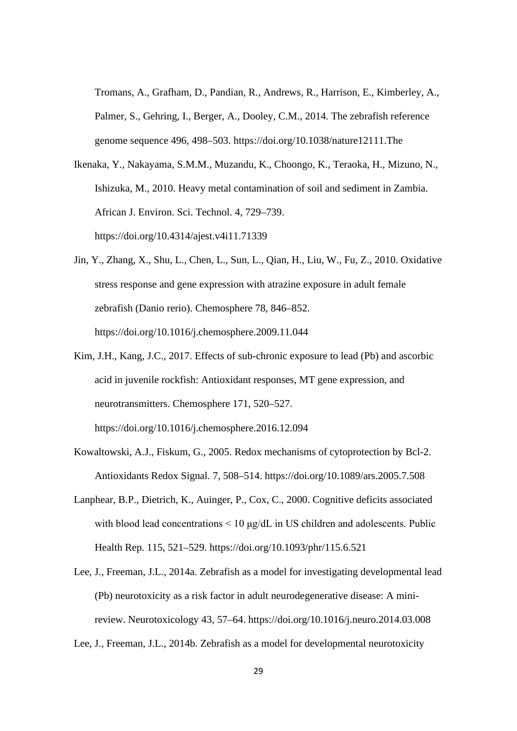Tromans, A., Grafham, D., Pandian, R., Andrews, R., Harrison, E., Kimberley, A., Palmer, S., Gehring, I., Berger, A., Dooley, C.M., 2014. The zebrafish reference genome sequence 496, 498–503. https://doi.org/10.1038/nature12111.The

- Ikenaka, Y., Nakayama, S.M.M., Muzandu, K., Choongo, K., Teraoka, H., Mizuno, N., Ishizuka, M., 2010. Heavy metal contamination of soil and sediment in Zambia. African J. Environ. Sci. Technol. 4, 729–739. https://doi.org/10.4314/ajest.v4i11.71339
- Jin, Y., Zhang, X., Shu, L., Chen, L., Sun, L., Qian, H., Liu, W., Fu, Z., 2010. Oxidative stress response and gene expression with atrazine exposure in adult female zebrafish (Danio rerio). Chemosphere 78, 846–852. https://doi.org/10.1016/j.chemosphere.2009.11.044
- Kim, J.H., Kang, J.C., 2017. Effects of sub-chronic exposure to lead (Pb) and ascorbic acid in juvenile rockfish: Antioxidant responses, MT gene expression, and neurotransmitters. Chemosphere 171, 520–527. https://doi.org/10.1016/j.chemosphere.2016.12.094

Kowaltowski, A.J., Fiskum, G., 2005. Redox mechanisms of cytoprotection by Bcl-2.

Antioxidants Redox Signal. 7, 508–514. https://doi.org/10.1089/ars.2005.7.508

- Lanphear, B.P., Dietrich, K., Auinger, P., Cox, C., 2000. Cognitive deficits associated with blood lead concentrations  $\leq 10 \mu g/dL$  in US children and adolescents. Public Health Rep. 115, 521–529. https://doi.org/10.1093/phr/115.6.521
- Lee, J., Freeman, J.L., 2014a. Zebrafish as a model for investigating developmental lead (Pb) neurotoxicity as a risk factor in adult neurodegenerative disease: A minireview. Neurotoxicology 43, 57–64. https://doi.org/10.1016/j.neuro.2014.03.008
- Lee, J., Freeman, J.L., 2014b. Zebrafish as a model for developmental neurotoxicity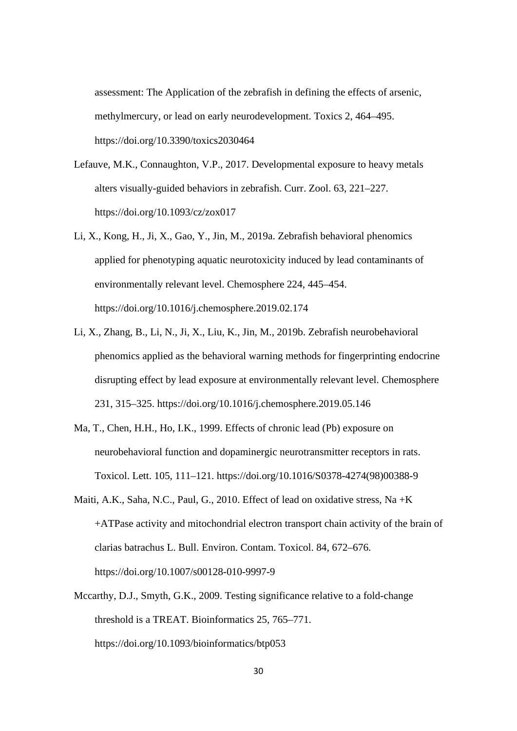assessment: The Application of the zebrafish in defining the effects of arsenic, methylmercury, or lead on early neurodevelopment. Toxics 2, 464–495. https://doi.org/10.3390/toxics2030464

- Lefauve, M.K., Connaughton, V.P., 2017. Developmental exposure to heavy metals alters visually-guided behaviors in zebrafish. Curr. Zool. 63, 221–227. https://doi.org/10.1093/cz/zox017
- Li, X., Kong, H., Ji, X., Gao, Y., Jin, M., 2019a. Zebrafish behavioral phenomics applied for phenotyping aquatic neurotoxicity induced by lead contaminants of environmentally relevant level. Chemosphere 224, 445–454. https://doi.org/10.1016/j.chemosphere.2019.02.174
- Li, X., Zhang, B., Li, N., Ji, X., Liu, K., Jin, M., 2019b. Zebrafish neurobehavioral phenomics applied as the behavioral warning methods for fingerprinting endocrine disrupting effect by lead exposure at environmentally relevant level. Chemosphere 231, 315–325. https://doi.org/10.1016/j.chemosphere.2019.05.146
- Ma, T., Chen, H.H., Ho, I.K., 1999. Effects of chronic lead (Pb) exposure on neurobehavioral function and dopaminergic neurotransmitter receptors in rats. Toxicol. Lett. 105, 111–121. https://doi.org/10.1016/S0378-4274(98)00388-9
- Maiti, A.K., Saha, N.C., Paul, G., 2010. Effect of lead on oxidative stress, Na +K +ATPase activity and mitochondrial electron transport chain activity of the brain of clarias batrachus L. Bull. Environ. Contam. Toxicol. 84, 672–676. https://doi.org/10.1007/s00128-010-9997-9
- Mccarthy, D.J., Smyth, G.K., 2009. Testing significance relative to a fold-change threshold is a TREAT. Bioinformatics 25, 765–771. https://doi.org/10.1093/bioinformatics/btp053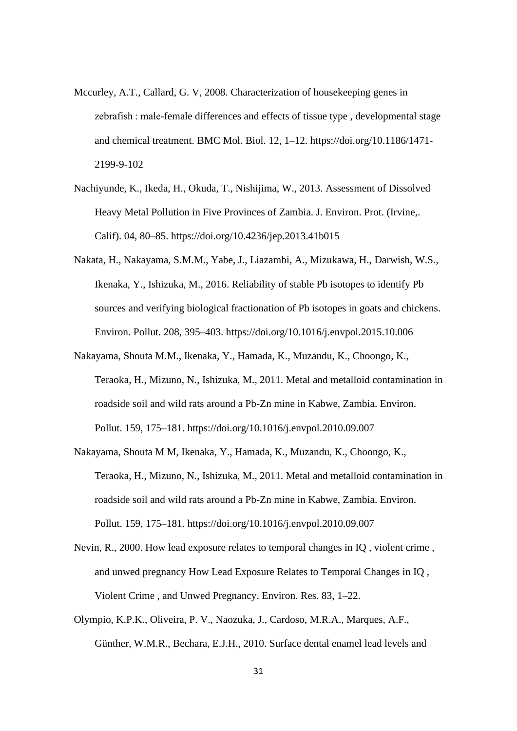- Mccurley, A.T., Callard, G. V, 2008. Characterization of housekeeping genes in zebrafish : male-female differences and effects of tissue type , developmental stage and chemical treatment. BMC Mol. Biol. 12, 1–12. https://doi.org/10.1186/1471- 2199-9-102
- Nachiyunde, K., Ikeda, H., Okuda, T., Nishijima, W., 2013. Assessment of Dissolved Heavy Metal Pollution in Five Provinces of Zambia. J. Environ. Prot. (Irvine,. Calif). 04, 80–85. https://doi.org/10.4236/jep.2013.41b015
- Nakata, H., Nakayama, S.M.M., Yabe, J., Liazambi, A., Mizukawa, H., Darwish, W.S., Ikenaka, Y., Ishizuka, M., 2016. Reliability of stable Pb isotopes to identify Pb sources and verifying biological fractionation of Pb isotopes in goats and chickens. Environ. Pollut. 208, 395–403. https://doi.org/10.1016/j.envpol.2015.10.006
- Nakayama, Shouta M.M., Ikenaka, Y., Hamada, K., Muzandu, K., Choongo, K., Teraoka, H., Mizuno, N., Ishizuka, M., 2011. Metal and metalloid contamination in roadside soil and wild rats around a Pb-Zn mine in Kabwe, Zambia. Environ. Pollut. 159, 175–181. https://doi.org/10.1016/j.envpol.2010.09.007
- Nakayama, Shouta M M, Ikenaka, Y., Hamada, K., Muzandu, K., Choongo, K., Teraoka, H., Mizuno, N., Ishizuka, M., 2011. Metal and metalloid contamination in roadside soil and wild rats around a Pb-Zn mine in Kabwe, Zambia. Environ. Pollut. 159, 175–181. https://doi.org/10.1016/j.envpol.2010.09.007
- Nevin, R., 2000. How lead exposure relates to temporal changes in IQ , violent crime , and unwed pregnancy How Lead Exposure Relates to Temporal Changes in IQ , Violent Crime , and Unwed Pregnancy. Environ. Res. 83, 1–22.
- Olympio, K.P.K., Oliveira, P. V., Naozuka, J., Cardoso, M.R.A., Marques, A.F., Günther, W.M.R., Bechara, E.J.H., 2010. Surface dental enamel lead levels and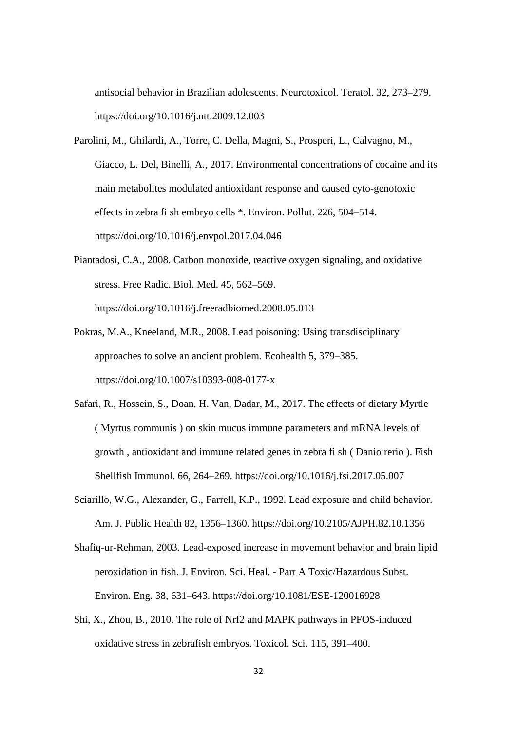antisocial behavior in Brazilian adolescents. Neurotoxicol. Teratol. 32, 273–279. https://doi.org/10.1016/j.ntt.2009.12.003

Parolini, M., Ghilardi, A., Torre, C. Della, Magni, S., Prosperi, L., Calvagno, M., Giacco, L. Del, Binelli, A., 2017. Environmental concentrations of cocaine and its main metabolites modulated antioxidant response and caused cyto-genotoxic effects in zebra fi sh embryo cells \*. Environ. Pollut. 226, 504–514. https://doi.org/10.1016/j.envpol.2017.04.046

Piantadosi, C.A., 2008. Carbon monoxide, reactive oxygen signaling, and oxidative stress. Free Radic. Biol. Med. 45, 562–569. https://doi.org/10.1016/j.freeradbiomed.2008.05.013

Pokras, M.A., Kneeland, M.R., 2008. Lead poisoning: Using transdisciplinary approaches to solve an ancient problem. Ecohealth 5, 379–385.

https://doi.org/10.1007/s10393-008-0177-x

- Safari, R., Hossein, S., Doan, H. Van, Dadar, M., 2017. The effects of dietary Myrtle ( Myrtus communis ) on skin mucus immune parameters and mRNA levels of growth , antioxidant and immune related genes in zebra fi sh ( Danio rerio ). Fish Shellfish Immunol. 66, 264–269. https://doi.org/10.1016/j.fsi.2017.05.007
- Sciarillo, W.G., Alexander, G., Farrell, K.P., 1992. Lead exposure and child behavior. Am. J. Public Health 82, 1356–1360. https://doi.org/10.2105/AJPH.82.10.1356
- Shafiq-ur-Rehman, 2003. Lead-exposed increase in movement behavior and brain lipid peroxidation in fish. J. Environ. Sci. Heal. - Part A Toxic/Hazardous Subst. Environ. Eng. 38, 631–643. https://doi.org/10.1081/ESE-120016928
- Shi, X., Zhou, B., 2010. The role of Nrf2 and MAPK pathways in PFOS-induced oxidative stress in zebrafish embryos. Toxicol. Sci. 115, 391–400.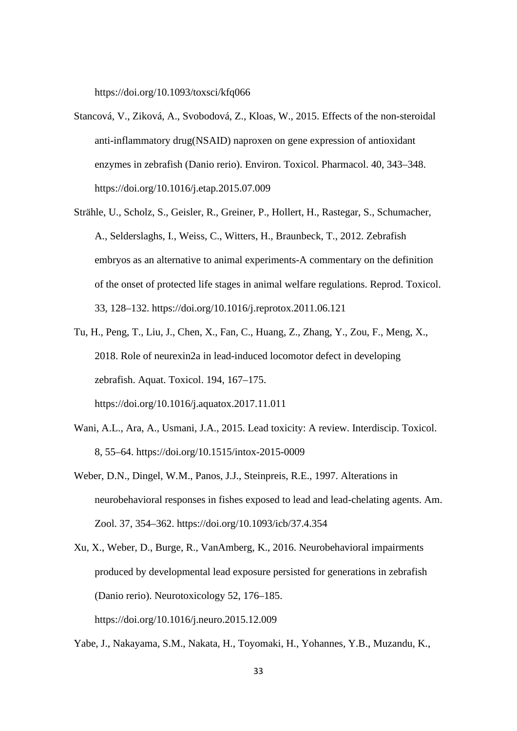https://doi.org/10.1093/toxsci/kfq066

- Stancová, V., Ziková, A., Svobodová, Z., Kloas, W., 2015. Effects of the non-steroidal anti-inflammatory drug(NSAID) naproxen on gene expression of antioxidant enzymes in zebrafish (Danio rerio). Environ. Toxicol. Pharmacol. 40, 343–348. https://doi.org/10.1016/j.etap.2015.07.009
- Strähle, U., Scholz, S., Geisler, R., Greiner, P., Hollert, H., Rastegar, S., Schumacher, A., Selderslaghs, I., Weiss, C., Witters, H., Braunbeck, T., 2012. Zebrafish embryos as an alternative to animal experiments-A commentary on the definition of the onset of protected life stages in animal welfare regulations. Reprod. Toxicol. 33, 128–132. https://doi.org/10.1016/j.reprotox.2011.06.121
- Tu, H., Peng, T., Liu, J., Chen, X., Fan, C., Huang, Z., Zhang, Y., Zou, F., Meng, X., 2018. Role of neurexin2a in lead-induced locomotor defect in developing zebrafish. Aquat. Toxicol. 194, 167–175. https://doi.org/10.1016/j.aquatox.2017.11.011
- Wani, A.L., Ara, A., Usmani, J.A., 2015. Lead toxicity: A review. Interdiscip. Toxicol. 8, 55–64. https://doi.org/10.1515/intox-2015-0009
- Weber, D.N., Dingel, W.M., Panos, J.J., Steinpreis, R.E., 1997. Alterations in neurobehavioral responses in fishes exposed to lead and lead-chelating agents. Am. Zool. 37, 354–362. https://doi.org/10.1093/icb/37.4.354
- Xu, X., Weber, D., Burge, R., VanAmberg, K., 2016. Neurobehavioral impairments produced by developmental lead exposure persisted for generations in zebrafish (Danio rerio). Neurotoxicology 52, 176–185. https://doi.org/10.1016/j.neuro.2015.12.009
- Yabe, J., Nakayama, S.M., Nakata, H., Toyomaki, H., Yohannes, Y.B., Muzandu, K.,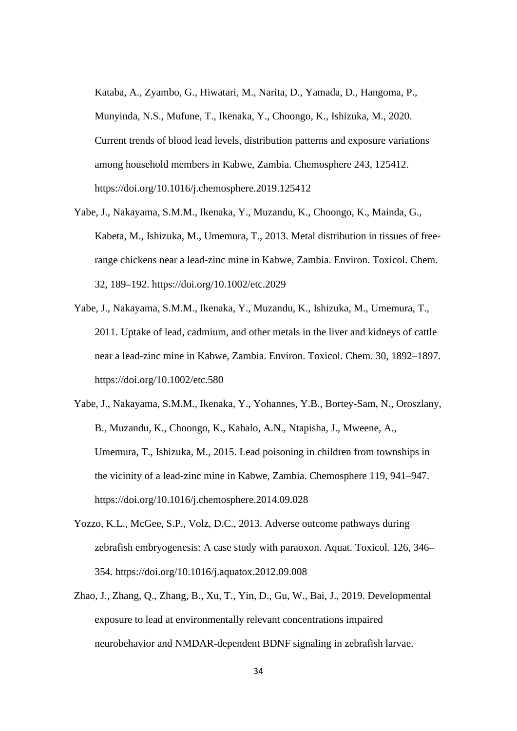Kataba, A., Zyambo, G., Hiwatari, M., Narita, D., Yamada, D., Hangoma, P., Munyinda, N.S., Mufune, T., Ikenaka, Y., Choongo, K., Ishizuka, M., 2020. Current trends of blood lead levels, distribution patterns and exposure variations among household members in Kabwe, Zambia. Chemosphere 243, 125412. https://doi.org/10.1016/j.chemosphere.2019.125412

- Yabe, J., Nakayama, S.M.M., Ikenaka, Y., Muzandu, K., Choongo, K., Mainda, G., Kabeta, M., Ishizuka, M., Umemura, T., 2013. Metal distribution in tissues of freerange chickens near a lead-zinc mine in Kabwe, Zambia. Environ. Toxicol. Chem. 32, 189–192. https://doi.org/10.1002/etc.2029
- Yabe, J., Nakayama, S.M.M., Ikenaka, Y., Muzandu, K., Ishizuka, M., Umemura, T., 2011. Uptake of lead, cadmium, and other metals in the liver and kidneys of cattle near a lead-zinc mine in Kabwe, Zambia. Environ. Toxicol. Chem. 30, 1892–1897. https://doi.org/10.1002/etc.580
- Yabe, J., Nakayama, S.M.M., Ikenaka, Y., Yohannes, Y.B., Bortey-Sam, N., Oroszlany, B., Muzandu, K., Choongo, K., Kabalo, A.N., Ntapisha, J., Mweene, A., Umemura, T., Ishizuka, M., 2015. Lead poisoning in children from townships in the vicinity of a lead-zinc mine in Kabwe, Zambia. Chemosphere 119, 941–947. https://doi.org/10.1016/j.chemosphere.2014.09.028
- Yozzo, K.L., McGee, S.P., Volz, D.C., 2013. Adverse outcome pathways during zebrafish embryogenesis: A case study with paraoxon. Aquat. Toxicol. 126, 346– 354. https://doi.org/10.1016/j.aquatox.2012.09.008
- Zhao, J., Zhang, Q., Zhang, B., Xu, T., Yin, D., Gu, W., Bai, J., 2019. Developmental exposure to lead at environmentally relevant concentrations impaired neurobehavior and NMDAR-dependent BDNF signaling in zebrafish larvae.